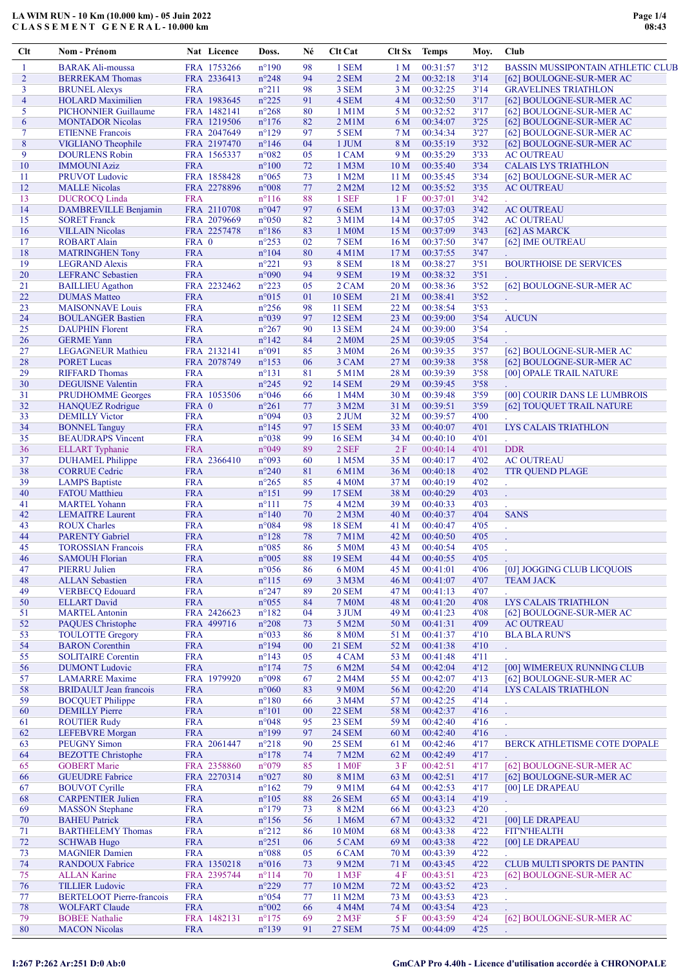## LA WIM RUN - 10 Km (10.000 km) - 05 Juin 2022 C L A S S E M E N T G E N E R A L - 10.000 km

| Clt            | Nom - Prénom                                      |                          | Nat Licence | Doss.                            | Né       | Clt Cat            | Clt Sx                  | <b>Temps</b>         | Moy.         | Club                                     |
|----------------|---------------------------------------------------|--------------------------|-------------|----------------------------------|----------|--------------------|-------------------------|----------------------|--------------|------------------------------------------|
| 1              | <b>BARAK Ali-moussa</b>                           |                          | FRA 1753266 | $n^{\circ}190$                   | 98       | 1 SEM              | 1 <sub>M</sub>          | 00:31:57             | 3'12         | <b>BASSIN MUSSIPONTAIN ATHLETIC CLUB</b> |
| $\overline{2}$ | <b>BERREKAM Thomas</b>                            |                          | FRA 2336413 | $n^{\circ}248$                   | 94       | 2 SEM              | 2 M                     | 00:32:18             | 3'14         | [62] BOULOGNE-SUR-MER AC                 |
| 3              | <b>BRUNEL Alexys</b>                              | <b>FRA</b>               |             | $n^{\circ}211$                   | 98       | 3 SEM              | 3 M                     | 00:32:25             | 3'14         | <b>GRAVELINES TRIATHLON</b>              |
| $\overline{4}$ | <b>HOLARD</b> Maximilien                          |                          | FRA 1983645 | $n^{\circ}225$                   | 91       | 4 SEM              | 4M                      | 00:32:50             | 3'17         | [62] BOULOGNE-SUR-MER AC                 |
| 5              | <b>PICHONNIER Guillaume</b>                       |                          | FRA 1482141 | $n^{\circ}268$                   | 80       | 1 M1M              | 5 M                     | 00:32:52             | 3'17         | [62] BOULOGNE-SUR-MER AC                 |
| 6              | <b>MONTADOR Nicolas</b>                           |                          | FRA 1219506 | $n^{\circ}176$                   | 82       | $2$ M $1$ M        | 6 M                     | 00:34:07             | 3'25         | [62] BOULOGNE-SUR-MER AC                 |
| $\tau$         | <b>ETIENNE Francois</b>                           |                          | FRA 2047649 | $n^{\circ}129$                   | 97       | 5 SEM              | 7 <sub>M</sub>          | 00:34:34             | 3'27         | [62] BOULOGNE-SUR-MER AC                 |
| 8              | <b>VIGLIANO</b> Theophile                         |                          | FRA 2197470 | $n^{\circ}$ 146                  | 04       | 1 JUM              | 8 M                     | 00:35:19             | 3'32         | [62] BOULOGNE-SUR-MER AC                 |
| 9              | <b>DOURLENS Robin</b>                             |                          | FRA 1565337 | n°082                            | 05       | 1 CAM              | 9 M                     | 00:35:29             | 3'33         | <b>AC OUTREAU</b>                        |
| 10             | <b>IMMOUNI Aziz</b>                               | <b>FRA</b>               |             | $n^{\circ}100$                   | 72       | 1 M3M              | 10 <sub>M</sub>         | 00:35:40             | 3'34         | <b>CALAIS LYS TRIATHLON</b>              |
| 11             | <b>PRUVOT Ludovic</b>                             |                          | FRA 1858428 | $n^{\circ}065$                   | 73       | 1 M2M              | 11 <sub>M</sub>         | 00:35:45             | 3'34         | [62] BOULOGNE-SUR-MER AC                 |
| 12             | <b>MALLE</b> Nicolas                              |                          | FRA 2278896 | $n^{\circ}008$                   | 77       | 2 M2M              | 12 <sub>M</sub>         | 00:35:52             | 3'35         | <b>AC OUTREAU</b>                        |
| 13             | <b>DUCROCQ Linda</b>                              | <b>FRA</b>               |             | $n^{\circ}116$                   | 88       | 1 SEF              | 1 F                     | 00:37:01             | 3'42         |                                          |
| 14             | DAMBREVILLE Benjamin                              |                          | FRA 2110708 | n°047                            | 97       | 6 SEM              | 13 M                    | 00:37:03             | 3'42         | <b>AC OUTREAU</b>                        |
| 15             | <b>SORET Franck</b>                               |                          | FRA 2079669 | $n^{\circ}050$                   | 82       | 3 M1M              | 14M                     | 00:37:05             | 3'42         | <b>AC OUTREAU</b>                        |
| 16             | <b>VILLAIN Nicolas</b>                            |                          | FRA 2257478 | $n^{\circ}186$                   | 83       | 1 M0M              | 15 M                    | 00:37:09             | 3'43         | [62] AS MARCK                            |
| 17<br>18       | <b>ROBART</b> Alain                               | FRA 0                    |             | $n^{\circ}253$                   | 02       | 7 SEM              | 16 <sub>M</sub>         | 00:37:50             | 3'47         | [62] IME OUTREAU                         |
| 19             | <b>MATRINGHEN Tony</b>                            | <b>FRA</b><br><b>FRA</b> |             | $n^{\circ}104$<br>$n^{\circ}221$ | 80<br>93 | 4 M1M<br>8 SEM     | 17 <sub>M</sub><br>18 M | 00:37:55<br>00:38:27 | 3'47<br>3'51 | <b>BOURTHOISE DE SERVICES</b>            |
| 20             | <b>LEGRAND Alexis</b><br><b>LEFRANC</b> Sebastien | <b>FRA</b>               |             | n°090                            | 94       | 9 SEM              | 19 <sub>M</sub>         | 00:38:32             | 3'51         |                                          |
| 21             | <b>BAILLIEU</b> Agathon                           |                          | FRA 2232462 | $n^{\circ}223$                   | 05       | 2 CAM              | 20 <sub>M</sub>         | 00:38:36             | 3'52         | [62] BOULOGNE-SUR-MER AC                 |
| 22             | <b>DUMAS</b> Matteo                               | <b>FRA</b>               |             | $n^{\circ}015$                   | 01       | <b>10 SEM</b>      | 21 M                    | 00:38:41             | 3'52         |                                          |
| 23             | <b>MAISONNAVE Louis</b>                           | <b>FRA</b>               |             | $n^{\circ}256$                   | 98       | <b>11 SEM</b>      | 22 M                    | 00:38:54             | 3'53         | t,                                       |
| 24             | <b>BOULANGER Bastien</b>                          | <b>FRA</b>               |             | n°039                            | 97       | 12 SEM             | 23 M                    | 00:39:00             | 3'54         | <b>AUCUN</b>                             |
| 25             | <b>DAUPHIN Florent</b>                            | <b>FRA</b>               |             | $n^{\circ}267$                   | 90       | <b>13 SEM</b>      | 24 M                    | 00:39:00             | 3'54         |                                          |
| 26             | <b>GERME Yann</b>                                 | <b>FRA</b>               |             | $n^{\circ}142$                   | 84       | 2 M0M              | 25 M                    | 00:39:05             | 3'54         |                                          |
| 27             | <b>LEGAGNEUR Mathieu</b>                          |                          | FRA 2132141 | n°091                            | 85       | 3 M <sub>0</sub> M | 26 M                    | 00:39:35             | 3'57         | [62] BOULOGNE-SUR-MER AC                 |
| 28             | <b>PORET Lucas</b>                                |                          | FRA 2078749 | $n^{\circ}153$                   | 06       | 3 CAM              | 27 M                    | 00:39:38             | 3'58         | [62] BOULOGNE-SUR-MER AC                 |
| 29             | <b>RIFFARD Thomas</b>                             | <b>FRA</b>               |             | $n^{\circ}131$                   | 81       | 5 M1M              | 28 M                    | 00:39:39             | 3'58         | [00] OPALE TRAIL NATURE                  |
| 30             | <b>DEGUISNE Valentin</b>                          | <b>FRA</b>               |             | $n^{\circ}245$                   | 92       | <b>14 SEM</b>      | 29 M                    | 00:39:45             | 3'58         |                                          |
| 31             | <b>PRUDHOMME</b> Georges                          |                          | FRA 1053506 | n°046                            | 66       | 1 M4M              | 30 M                    | 00:39:48             | 3'59         | [00] COURIR DANS LE LUMBROIS             |
| 32             | <b>HANQUEZ</b> Rodrigue                           | FRA 0                    |             | $n^{\circ}261$                   | 77       | 3 M2M              | 31 M                    | 00:39:51             | 3'59         | [62] TOUQUET TRAIL NATURE                |
| 33             | <b>DEMILLY Victor</b>                             | <b>FRA</b>               |             | n°094                            | 03       | $2$ JUM            | 32 M                    | 00:39:57             | 4'00         |                                          |
| 34             | <b>BONNEL Tanguy</b>                              | <b>FRA</b>               |             | $n^{\circ}145$                   | 97       | <b>15 SEM</b>      | 33 M                    | 00:40:07             | 4'01         | LYS CALAIS TRIATHLON                     |
| 35             | <b>BEAUDRAPS Vincent</b>                          | <b>FRA</b>               |             | n°038                            | 99       | <b>16 SEM</b>      | 34 M                    | 00:40:10             | 4'01         | $\mathbf{r}$                             |
| 36             | <b>ELLART</b> Typhanie                            | <b>FRA</b>               |             | n°049                            | 89       | 2 SEF              | 2F                      | 00:40:14             | 4'01         | <b>DDR</b>                               |
| 37             | <b>DUHAMEL Philippe</b>                           |                          | FRA 2366410 | n°093                            | 60       | 1 M5M              | 35 M                    | 00:40:17             | 4'02         | <b>AC OUTREAU</b>                        |
| 38             | <b>CORRUE Cedric</b>                              | <b>FRA</b>               |             | $n^{\circ}240$                   | 81       | 6 M1M              | 36 M                    | 00:40:18             | 4'02         | <b>TTR QUEND PLAGE</b>                   |
| 39             | <b>LAMPS</b> Baptiste                             | <b>FRA</b>               |             | $n^{\circ}265$                   | 85       | 4 M <sub>0</sub> M | 37 M                    | 00:40:19             | 4'02         | t,                                       |
| 40             | <b>FATOU</b> Matthieu                             | <b>FRA</b>               |             | $n^{\circ}151$                   | 99       | <b>17 SEM</b>      | 38 M                    | 00:40:29             | 4'03         | t,                                       |
| 41             | <b>MARTEL Yohann</b>                              | <b>FRA</b>               |             | $n^{\circ}111$                   | 75       | 4 M2M              | 39 M                    | 00:40:33             | 4'03         |                                          |
| 42             | <b>LEMAITRE</b> Laurent                           | <b>FRA</b>               |             | $n^{\circ}140$                   | 70       | $2$ M $3$ M        | 40 <sub>M</sub>         | 00:40:37             | 4'04         | <b>SANS</b>                              |
| 43             | <b>ROUX Charles</b>                               | <b>FRA</b>               |             | n°084                            | 98       | <b>18 SEM</b>      | 41 M                    | 00:40:47             | 4'05         | l,                                       |
| 44             | <b>PARENTY Gabriel</b>                            | <b>FRA</b>               |             | $n^{\circ}128$                   | 78       | 7 M1M              | 42 M                    | 00:40:50             | 4'05         | ÷.                                       |
| 45             | <b>TOROSSIAN Francois</b>                         | <b>FRA</b>               |             | $n^{\circ}085$                   | 86       | 5 M <sub>0</sub> M | 43 M                    | 00:40:54             | 4'05         | ÷.                                       |
| 46             | <b>SAMOUH Florian</b>                             | <b>FRA</b>               |             | $n^{\circ}005$                   | 88       | <b>19 SEM</b>      | 44 M                    | 00:40:55             | 4'05         |                                          |
| 47             | <b>PIERRU Julien</b>                              | <b>FRA</b>               |             | $n^{\circ}056$                   | 86       | 6 M0M              | 45 M                    | 00:41:01             | 4'06         | [0J] JOGGING CLUB LICQUOIS               |
| 48             | <b>ALLAN</b> Sebastien                            | <b>FRA</b>               |             | $n^{\circ}115$                   | 69       | 3 M3M              | 46 M                    | 00:41:07             | 4'07         | <b>TEAM JACK</b>                         |
| 49             | <b>VERBECQ Edouard</b>                            | <b>FRA</b>               |             | $n^{\circ}247$                   | 89       | <b>20 SEM</b>      | 47 M                    | 00:41:13             | 4'07         |                                          |
| 50             | <b>ELLART</b> David                               | <b>FRA</b>               |             | $n^{\circ}055$                   | 84       | <b>7 M0M</b>       | 48 M                    | 00:41:20             | 4'08         | LYS CALAIS TRIATHLON                     |
| 51             | <b>MARTEL Antonin</b>                             |                          | FRA 2426623 | $n^{\circ}182$                   | 04       | 3 JUM              | 49 M                    | 00:41:23             | 4'08         | [62] BOULOGNE-SUR-MER AC                 |
| 52             | <b>PAQUES</b> Christophe                          |                          | FRA 499716  | $n^{\circ}208$                   | 73       | 5 M2M              | 50 M                    | 00:41:31             | 4'09         | <b>AC OUTREAU</b>                        |
| 53             | <b>TOULOTTE Gregory</b>                           | <b>FRA</b>               |             | n°033                            | 86       | <b>8 M0M</b>       | 51 M                    | 00:41:37             | 4'10         | <b>BLA BLA RUN'S</b>                     |
| 54             | <b>BARON</b> Corenthin                            | <b>FRA</b>               |             | $n^{\circ}194$                   | 00       | <b>21 SEM</b>      | 52 M                    | 00:41:38             | 4'10         | $\mathbb{Z}^2$                           |
| 55             | <b>SOLITAIRE Corentin</b>                         | <b>FRA</b>               |             | $n^{\circ}143$                   | 05       | 4 CAM              | 53 M                    | 00:41:48             | 4'11         |                                          |
| 56             | <b>DUMONT</b> Ludovic                             | <b>FRA</b>               |             | $n^{\circ}174$                   | 75       | 6 M2M              | 54 M                    | 00:42:04             | 4'12         | [00] WIMEREUX RUNNING CLUB               |
| 57             | <b>LAMARRE</b> Maxime                             |                          | FRA 1979920 | n°098                            | 67       | 2 M4M              | 55 M                    | 00:42:07             | 4'13         | [62] BOULOGNE-SUR-MER AC                 |
| 58             | <b>BRIDAULT</b> Jean francois                     | <b>FRA</b>               |             | $n^{\circ}060$                   | 83       | 9 M <sub>0</sub> M | 56 M                    | 00:42:20             | 4'14         | LYS CALAIS TRIATHLON                     |
| 59             | <b>BOCQUET Philippe</b>                           | <b>FRA</b>               |             | $n^{\circ}180$                   | 66       | 3 M4M              | 57 M                    | 00:42:25             | 4'14         | t,                                       |
| 60             | <b>DEMILLY</b> Pierre                             | <b>FRA</b>               |             | $n^{\circ}101$                   | 00       | <b>22 SEM</b>      | 58 M                    | 00:42:37             | 4'16         |                                          |
| 61             | <b>ROUTIER Rudy</b>                               | <b>FRA</b>               |             | n°048                            | 95       | 23 SEM             | 59 M                    | 00:42:40             | 4'16         | ä,                                       |
| 62             | <b>LEFEBVRE</b> Morgan                            | <b>FRA</b>               |             | $n^{\circ}199$                   | 97       | <b>24 SEM</b>      | 60 M                    | 00:42:40             | 4'16         |                                          |
| 63             | <b>PEUGNY Simon</b>                               |                          | FRA 2061447 | $n^{\circ}218$                   | 90       | <b>25 SEM</b>      | 61 M                    | 00:42:46             | 4'17         | BERCK ATHLETISME COTE D'OPALE            |
| 64             | <b>BEZOTTE</b> Christophe                         | <b>FRA</b>               |             | $n^{\circ}178$                   | 74       | 7 M2M              | 62 M                    | 00:42:49             | 4'17         |                                          |
| 65             | <b>GOBERT Marie</b>                               |                          | FRA 2358860 | n°079                            | 85       | 1 M <sub>OF</sub>  | 3F                      | 00:42:51             | 4'17         | [62] BOULOGNE-SUR-MER AC                 |
| 66             | <b>GUEUDRE Fabrice</b>                            |                          | FRA 2270314 | n°027                            | 80       | 8 M1M              | 63 M                    | 00:42:51             | 4'17         | [62] BOULOGNE-SUR-MER AC                 |
| 67             | <b>BOUVOT</b> Cyrille                             | <b>FRA</b>               |             | $n^{\circ}162$                   | 79       | 9 M1M              | 64 M                    | 00:42:53             | 4'17         | [00] LE DRAPEAU                          |
| 68             | <b>CARPENTIER Julien</b>                          | <b>FRA</b>               |             | $n^{\circ}105$                   | 88       | <b>26 SEM</b>      | 65 M                    | 00:43:14             | 4'19         | ¥.                                       |
| 69             | <b>MASSON</b> Stephane                            | <b>FRA</b>               |             | $n^{\circ}179$                   | 73       | 8 M2M              | 66 M                    | 00:43:23             | 4'20         |                                          |
| 70             | <b>BAHEU Patrick</b>                              | <b>FRA</b>               |             | $n^{\circ}156$                   | 56       | 1 M6M              | 67 M                    | 00:43:32             | 4'21         | [00] LE DRAPEAU                          |
| 71             | <b>BARTHELEMY Thomas</b>                          | <b>FRA</b>               |             | $n^{\circ}212$                   | 86       | 10 M0M             | 68 M                    | 00:43:38             | 4'22         | <b>FIT'N'HEALTH</b>                      |
| 72             | <b>SCHWAB Hugo</b>                                | <b>FRA</b>               |             | $n^{\circ}251$                   | 06       | 5 CAM              | 69 M                    | 00:43:38             | 4'22         | [00] LE DRAPEAU                          |
| 73             | <b>MAGNIER Damien</b>                             | <b>FRA</b>               |             | n°088                            | 05       | 6 CAM              | 70 M                    | 00:43:39             | 4'22         | ÷.                                       |
| 74             | <b>RANDOUX Fabrice</b>                            |                          | FRA 1350218 | $n^{\circ}016$                   | 73       | 9 M2M              | 71 M                    | 00:43:45             | 4'22         | <b>CLUB MULTI SPORTS DE PANTIN</b>       |
| 75             | <b>ALLAN Karine</b>                               |                          | FRA 2395744 | $n^{\circ}114$                   | 70       | 1 M3F              | 4 F                     | 00:43:51             | 4'23         | [62] BOULOGNE-SUR-MER AC                 |
| 76             | <b>TILLIER Ludovic</b>                            | <b>FRA</b>               |             | $n^{\circ}229$                   | 77       | 10 M2M             | 72 M                    | 00:43:52             | 4'23         | ¥.                                       |
| 77             | <b>BERTELOOT</b> Pierre-francois                  | <b>FRA</b>               |             | n°054                            | 77       | 11 M2M             | 73 M                    | 00:43:53             | 4'23         | ä,                                       |
| 78             | <b>WOLFART Claude</b>                             | <b>FRA</b>               |             | $n^{\circ}002$                   | 66       | 4 M4M              | 74 M                    | 00:43:54             | 4'23         |                                          |
| 79             | <b>BOBEE Nathalie</b>                             |                          | FRA 1482131 | $n^{\circ}175$                   | 69       | $2$ M $3F$         | 5 F                     | 00:43:59             | 4'24         | [62] BOULOGNE-SUR-MER AC                 |
| 80             | <b>MACON Nicolas</b>                              | <b>FRA</b>               |             | $n^{\circ}139$                   | 91       | <b>27 SEM</b>      | 75 M                    | 00:44:09             | 4'25         |                                          |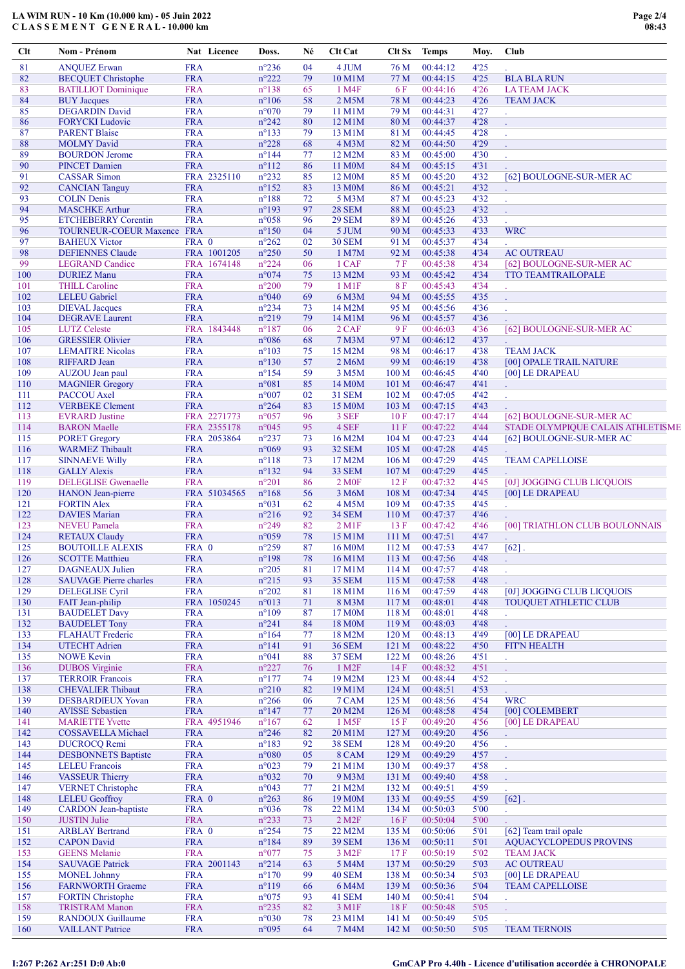## LA WIM RUN - 10 Km (10.000 km) - 05 Juin 2022 C L A S S E M E N T G E N E R A L - 10.000 km

| Clt        | Nom - Prénom                                    |                          | Nat Licence  | Doss.                            | Né       | <b>Clt Cat</b>                | Clt Sx           | <b>Temps</b>         | Moy.         | Club                                          |
|------------|-------------------------------------------------|--------------------------|--------------|----------------------------------|----------|-------------------------------|------------------|----------------------|--------------|-----------------------------------------------|
| 81         | <b>ANQUEZ Erwan</b>                             | <b>FRA</b>               |              | $n^{\circ}236$                   | 04       | 4 JUM                         | 76 M             | 00:44:12             | 4'25         |                                               |
| 82         | <b>BECQUET Christophe</b>                       | <b>FRA</b>               |              | $n^{\circ}222$                   | 79       | 10 M1M                        | 77 M             | 00:44:15             | 4'25         | <b>BLA BLA RUN</b>                            |
| 83         | <b>BATILLIOT</b> Dominique                      | <b>FRA</b>               |              | $n^{\circ}138$                   | 65       | 1 M4F                         | 6 F              | 00:44:16             | 4'26         | <b>LATEAM JACK</b>                            |
| 84         | <b>BUY</b> Jacques                              | <b>FRA</b>               |              | $n^{\circ}106$                   | 58       | 2 M5M                         | 78 M             | 00:44:23             | 4'26         | <b>TEAM JACK</b>                              |
| 85         | <b>DEGARDIN David</b>                           | <b>FRA</b>               |              | $n^{\circ}070$                   | 79       | 11 M1M                        | 79 M             | 00:44:31             | 4'27         |                                               |
| 86         | <b>FORYCKI</b> Ludovic                          | <b>FRA</b>               |              | $n^{\circ}242$                   | 80       | 12 M1M                        | 80 M             | 00:44:37             | 4'28         | t.                                            |
| 87         | <b>PARENT Blaise</b>                            | <b>FRA</b>               |              | $n^{\circ}133$                   | 79       | 13 M1M                        | 81 M             | 00:44:45             | 4'28         | ä,                                            |
| 88         | <b>MOLMY</b> David                              | <b>FRA</b>               |              | $n^{\circ}228$                   | 68       | 4 M <sub>3</sub> M            | 82 M             | 00:44:50             | 4'29         |                                               |
| 89         | <b>BOURDON Jerome</b>                           | <b>FRA</b>               |              | $n^{\circ}$ 144                  | 77       | 12 M2M                        | 83 M             | 00:45:00             | 4'30         | $\ddot{\phantom{a}}$                          |
| 90         | <b>PINCET Damien</b>                            | <b>FRA</b>               |              | $n^{\circ}112$                   | 86       | 11 M0M                        | 84 M             | 00:45:15             | 4'31         |                                               |
| 91         | <b>CASSAR Simon</b>                             |                          | FRA 2325110  | $n^{\circ}232$                   | 85       | 12 M <sub>0</sub> M<br>13 M0M | 85 M             | 00:45:20<br>00:45:21 | 4'32         | [62] BOULOGNE-SUR-MER AC                      |
| 92<br>93   | <b>CANCIAN Tanguy</b><br><b>COLIN</b> Denis     | <b>FRA</b><br><b>FRA</b> |              | $n^{\circ}152$<br>$n^{\circ}188$ | 83<br>72 | 5 M3M                         | 86 M<br>87 M     | 00:45:23             | 4'32<br>4'32 | $\mathcal{L}^{\pm}$                           |
| 94         | <b>MASCHKE Arthur</b>                           | <b>FRA</b>               |              | $n^{\circ}193$                   | 97       | <b>28 SEM</b>                 | 88 M             | 00:45:23             | 4'32         |                                               |
| 95         | <b>ETCHEBERRY Corentin</b>                      | <b>FRA</b>               |              | $n^{\circ}058$                   | 96       | <b>29 SEM</b>                 | 89 M             | 00:45:26             | 4'33         | ÷.                                            |
| 96         | TOURNEUR-COEUR Maxence FRA                      |                          |              | $n^{\circ}150$                   | 04       | 5 JUM                         | 90 M             | 00:45:33             | 4'33         | <b>WRC</b>                                    |
| 97         | <b>BAHEUX Victor</b>                            | FRA 0                    |              | $n^{\circ}262$                   | 02       | <b>30 SEM</b>                 | 91 M             | 00:45:37             | 4'34         |                                               |
| 98         | <b>DEFIENNES Claude</b>                         |                          | FRA 1001205  | $n^{\circ}250$                   | 50       | 1 M7M                         | 92 M             | 00:45:38             | 4'34         | <b>AC OUTREAU</b>                             |
| 99         | <b>LEGRAND Candice</b>                          |                          | FRA 1674148  | $n^{\circ}224$                   | 06       | 1 CAF                         | 7F               | 00:45:38             | 4'34         | [62] BOULOGNE-SUR-MER AC                      |
| 100        | <b>DURIEZ Manu</b>                              | <b>FRA</b>               |              | n°074                            | 75       | 13 M2M                        | 93 M             | 00:45:42             | 4'34         | <b>TTO TEAMTRAILOPALE</b>                     |
| 101        | <b>THILL Caroline</b>                           | <b>FRA</b>               |              | $n^{\circ}200$                   | 79       | $1$ M $1$ F                   | 8F               | 00:45:43             | 4'34         | $\mathcal{L}^{\pm}$                           |
| 102        | <b>LELEU</b> Gabriel                            | <b>FRA</b>               |              | $n^{\circ}040$                   | 69       | 6 M3M                         | 94 M             | 00:45:55             | 4'35         |                                               |
| 103        | <b>DIEVAL</b> Jacques                           | <b>FRA</b>               |              | $n^{\circ}234$                   | 73       | 14 M2M                        | 95 M             | 00:45:56             | 4'36         | t,                                            |
| 104        | <b>DEGRAVE</b> Laurent                          | <b>FRA</b>               |              | $n^{\circ}219$                   | 79       | 14 M1M                        | 96 M             | 00:45:57             | 4'36         |                                               |
| 105        | <b>LUTZ</b> Celeste                             |                          | FRA 1843448  | $n^{\circ}187$                   | 06       | 2 CAF                         | 9F               | 00:46:03             | 4'36         | [62] BOULOGNE-SUR-MER AC                      |
| 106        | <b>GRESSIER Olivier</b>                         | <b>FRA</b>               |              | $n^{\circ}086$                   | 68       | 7 M3M                         | 97 M             | 00:46:12             | 4'37         |                                               |
| 107        | <b>LEMAITRE Nicolas</b>                         | <b>FRA</b>               |              | $n^{\circ}103$                   | 75       | 15 M2M                        | 98 M             | 00:46:17             | 4'38         | <b>TEAM JACK</b>                              |
| 108        | <b>RIFFARD Jean</b>                             | <b>FRA</b>               |              | $n^{\circ}130$                   | 57       | 2 M6M                         | 99 M             | 00:46:19             | 4'38         | [00] OPALE TRAIL NATURE                       |
| 109        | AUZOU Jean paul                                 | <b>FRA</b>               |              | $n^{\circ}154$                   | 59       | 3 M5M                         | 100 <sub>M</sub> | 00:46:45             | 4'40         | [00] LE DRAPEAU                               |
| 110        | <b>MAGNIER Gregory</b>                          | <b>FRA</b>               |              | n°081                            | 85       | 14 M <sub>0</sub> M           | 101 M            | 00:46:47             | 4'41         | $\mathcal{L}^{\mathcal{A}}$                   |
| 111        | PACCOU Axel                                     | <b>FRA</b>               |              | $n^{\circ}007$                   | 02       | <b>31 SEM</b>                 | 102 M            | 00:47:05             | 4'42         |                                               |
| 112        | <b>VERBEKE</b> Clement                          | <b>FRA</b>               |              | $n^{\circ}264$                   | 83       | 15 M <sub>0</sub> M           | 103 <sub>M</sub> | 00:47:15             | 4'43         |                                               |
| 113        | <b>EVRARD</b> Justine                           |                          | FRA 2271773  | $n^{\circ}057$                   | 96       | 3 SEF                         | 10F              | 00:47:17             | 4'44         | [62] BOULOGNE-SUR-MER AC                      |
| 114        | <b>BARON</b> Maelle                             |                          | FRA 2355178  | $n^{\circ}045$                   | 95       | 4 SEF                         | 11F              | 00:47:22             | 4'44         | STADE OLYMPIQUE CALAIS ATHLETISME             |
| 115        | <b>PORET</b> Gregory                            |                          | FRA 2053864  | $n^{\circ}237$                   | 73       | 16 M2M                        | 104 M            | 00:47:23             | 4'44         | [62] BOULOGNE-SUR-MER AC                      |
| 116        | <b>WARMEZ Thibault</b>                          | <b>FRA</b>               |              | $n^{\circ}069$                   | 93       | 32 SEM                        | 105 <sub>M</sub> | 00:47:28             | 4'45         |                                               |
| 117        | <b>SINNAEVE Willy</b>                           | <b>FRA</b>               |              | $n^{\circ}118$                   | 73       | 17 M2M                        | 106 <sub>M</sub> | 00:47:29             | 4'45         | <b>TEAM CAPELLOISE</b>                        |
| 118<br>119 | <b>GALLY Alexis</b>                             | <b>FRA</b>               |              | $n^{\circ}132$                   | 94       | 33 SEM                        | 107 M            | 00:47:29             | 4'45         |                                               |
| 120        | <b>DELEGLISE</b> Gwenaelle<br>HANON Jean-pierre | <b>FRA</b>               | FRA 51034565 | $n^{\circ}201$<br>$n^{\circ}168$ | 86<br>56 | 2 M0F<br>3 M6M                | 12F<br>108 M     | 00:47:32<br>00:47:34 | 4'45<br>4'45 | [0J] JOGGING CLUB LICQUOIS<br>[00] LE DRAPEAU |
| 121        | <b>FORTIN Alex</b>                              | <b>FRA</b>               |              | n°031                            | 62       | 4 M5M                         | 109 <sub>M</sub> | 00:47:35             | 4'45         |                                               |
| 122        | <b>DAVIES Marian</b>                            | <b>FRA</b>               |              | $n^{\circ}216$                   | 92       | <b>34 SEM</b>                 | 110 M            | 00:47:37             | 4'46         | v.                                            |
| 123        | <b>NEVEU</b> Pamela                             | <b>FRA</b>               |              | $n^{\circ}249$                   | 82       | $2$ M <sub>1</sub> F          | 13F              | 00:47:42             | 4'46         | [00] TRIATHLON CLUB BOULONNAIS                |
| 124        | <b>RETAUX Claudy</b>                            | <b>FRA</b>               |              | n°059                            | 78       | 15 M1M                        | 111 M            | 00:47:51             | 4'47         |                                               |
| 125        | <b>BOUTOILLE ALEXIS</b>                         | FRA 0                    |              | $n^{\circ}259$                   | 87       | 16 M <sub>0</sub> M           | 112M             | 00:47:53             | 4'47         | $[62]$ .                                      |
| 126        | <b>SCOTTE Matthieu</b>                          | <b>FRA</b>               |              | $n^{\circ}198$                   | $78\,$   | 16 M1M                        | 113M             | 00:47:56             | 4'48         |                                               |
| 127        | <b>DAGNEAUX</b> Julien                          | <b>FRA</b>               |              | $n^{\circ}205$                   | 81       | 17 M1M                        | 114M             | 00:47:57             | 4'48         | $\mathbb{Z}^2$                                |
| 128        | <b>SAUVAGE Pierre charles</b>                   | <b>FRA</b>               |              | $n^{\circ}215$                   | 93       | <b>35 SEM</b>                 | 115 M            | 00:47:58             | 4'48         |                                               |
| 129        | <b>DELEGLISE Cyril</b>                          | <b>FRA</b>               |              | $n^{\circ}202$                   | 81       | 18 M1M                        | 116 M            | 00:47:59             | 4'48         | [0J] JOGGING CLUB LICQUOIS                    |
| 130        | FAIT Jean-philip                                |                          | FRA 1050245  | n°013                            | 71       | 8 M3M                         | 117 M            | 00:48:01             | 4'48         | <b>TOUQUET ATHLETIC CLUB</b>                  |
| 131        | <b>BAUDELET Davy</b>                            | <b>FRA</b>               |              | $n^{\circ}109$                   | 87       | 17 M <sub>0</sub> M           | 118M             | 00:48:01             | 4'48         | v.                                            |
| 132        | <b>BAUDELET Tony</b>                            | <b>FRA</b>               |              | $n^{\circ}241$                   | 84       | 18 M <sub>0</sub> M           | 119 M            | 00:48:03             | 4'48         | ÷.                                            |
| 133        | <b>FLAHAUT Frederic</b>                         | <b>FRA</b>               |              | $n^{\circ}164$                   | 77       | 18 M2M                        | 120 <sub>M</sub> | 00:48:13             | 4'49         | [00] LE DRAPEAU                               |
| 134        | <b>UTECHT Adrien</b>                            | <b>FRA</b>               |              | $n^{\circ}141$                   | 91       | <b>36 SEM</b>                 | 121 M            | 00:48:22             | 4'50         | <b>FIT'N HEALTH</b>                           |
| 135        | <b>NOWE Kevin</b>                               | <b>FRA</b>               |              | n°041                            | 88       | <b>37 SEM</b>                 | 122 M            | 00:48:26             | 4'51         | ¥.                                            |
| 136        | <b>DUBOS</b> Virginie                           | <b>FRA</b>               |              | $n^{\circ}227$                   | 76       | $1$ M <sub>2</sub> $F$        | 14F              | 00:48:32             | 4'51         | t,                                            |
| 137        | <b>TERROIR Francois</b>                         | <b>FRA</b>               |              | $n^{\circ}177$                   | 74       | 19 M2M                        | 123 M            | 00:48:44             | 4'52         | ÷.                                            |
| 138        | <b>CHEVALIER Thibaut</b>                        | <b>FRA</b>               |              | $n^{\circ}210$                   | 82       | 19 M1M                        | 124M             | 00:48:51             | 4'53         |                                               |
| 139        | <b>DESBARDIEUX Yovan</b>                        | <b>FRA</b>               |              | $n^{\circ}266$                   | 06       | 7 CAM                         | 125 M            | 00:48:56             | 4'54         | <b>WRC</b>                                    |
| 140        | <b>AVISSE Sebastien</b>                         | <b>FRA</b>               |              | $n^{\circ}147$                   | 77       | 20 M2M                        | 126 M            | 00:48:58             | 4'54         | [00] COLEMBERT                                |
| 141        | <b>MARIETTE Yvette</b>                          |                          | FRA 4951946  | $n^{\circ}167$                   | 62       | 1 M <sub>5F</sub>             | 15F              | 00:49:20             | 4'56         | [00] LE DRAPEAU                               |
| 142        | <b>COSSAVELLA Michael</b>                       | <b>FRA</b>               |              | $n^{\circ}246$                   | 82       | 20 M1M                        | 127 M            | 00:49:20             | 4'56         | ¥.                                            |
| 143        | <b>DUCROCQ Remi</b>                             | <b>FRA</b>               |              | $n^{\circ}183$                   | 92       | <b>38 SEM</b>                 | 128 <sub>M</sub> | 00:49:20             | 4'56         | ä,                                            |
| 144<br>145 | <b>DESBONNETS Baptiste</b>                      | <b>FRA</b><br><b>FRA</b> |              | $n^{\circ}080$                   | 05       | 8 CAM<br>21 M1M               | 129 M            | 00:49:29             | 4'57<br>4'58 | t,                                            |
| 146        | <b>LELEU</b> Francois<br><b>VASSEUR Thierry</b> | <b>FRA</b>               |              | $n^{\circ}023$<br>n°032          | 79<br>70 | 9 M3M                         | 130 M<br>131 M   | 00:49:37<br>00:49:40 | 4'58         | ä,                                            |
|            | <b>VERNET Christophe</b>                        | <b>FRA</b>               |              | n°043                            |          | 21 M2M                        | 132 M            | 00:49:51             | 4'59         | t.                                            |
| 147<br>148 | <b>LELEU</b> Geoffroy                           | FRA 0                    |              | $n^{\circ}263$                   | 77<br>86 | 19 M <sub>0</sub> M           | 133 M            | 00:49:55             | 4'59         | t.<br>$[62]$ .                                |
| 149        | <b>CARDON</b> Jean-baptiste                     | <b>FRA</b>               |              | n°036                            | 78       | 22 M1M                        | 134 M            | 00:50:03             | 5'00         |                                               |
| 150        | <b>JUSTIN</b> Julie                             | <b>FRA</b>               |              | $n^{\circ}233$                   | 73       | $2$ M <sub>2</sub> $F$        | 16F              | 00:50:04             | 5'00         | ä,                                            |
| 151        | <b>ARBLAY Bertrand</b>                          | FRA 0                    |              | $n^{\circ}254$                   | 75       | 22 M2M                        | 135 <sub>M</sub> | 00:50:06             | 5'01         | [62] Team trail opale                         |
| 152        | <b>CAPON David</b>                              | <b>FRA</b>               |              | $n^{\circ}184$                   | 89       | <b>39 SEM</b>                 | 136M             | 00:50:11             | 5'01         | <b>AQUACYCLOPEDUS PROVINS</b>                 |
| 153        | <b>GEENS</b> Melanie                            | <b>FRA</b>               |              | $n^{\circ}077$                   | 75       | 3 M <sub>2</sub> F            | 17F              | 00:50:19             | 5'02         | <b>TEAM JACK</b>                              |
| 154        | <b>SAUVAGE Patrick</b>                          |                          | FRA 2001143  | $n^{\circ}214$                   | 63       | 5 M4M                         | 137 M            | 00:50:29             | 5'03         | <b>AC OUTREAU</b>                             |
| 155        | <b>MONEL Johnny</b>                             | <b>FRA</b>               |              | $n^{\circ}170$                   | 99       | <b>40 SEM</b>                 | 138 M            | 00:50:34             | 5'03         | [00] LE DRAPEAU                               |
| 156        | <b>FARNWORTH Graeme</b>                         | <b>FRA</b>               |              | $n^{\circ}119$                   | 66       | 6 M4M                         | 139 M            | 00:50:36             | 5'04         | <b>TEAM CAPELLOISE</b>                        |
| 157        | <b>FORTIN Christophe</b>                        | <b>FRA</b>               |              | $n^{\circ}075$                   | 93       | 41 SEM                        | 140 <sub>M</sub> | 00:50:41             | 5'04         | L.                                            |
| 158        | <b>TRISTRAM Manon</b>                           | <b>FRA</b>               |              | $n^{\circ}235$                   | 82       | 3 M1F                         | 18F              | 00:50:48             | 5'05         | V                                             |
| 159        | <b>RANDOUX Guillaume</b>                        | <b>FRA</b>               |              | $n^{\circ}030$                   | 78       | 23 M1M                        | 141 M            | 00:50:49             | 5'05         |                                               |
| 160        | <b>VAILLANT Patrice</b>                         | <b>FRA</b>               |              | n°095                            | 64       | 7 M4M                         | 142 M            | 00:50:50             | 5'05         | <b>TEAM TERNOIS</b>                           |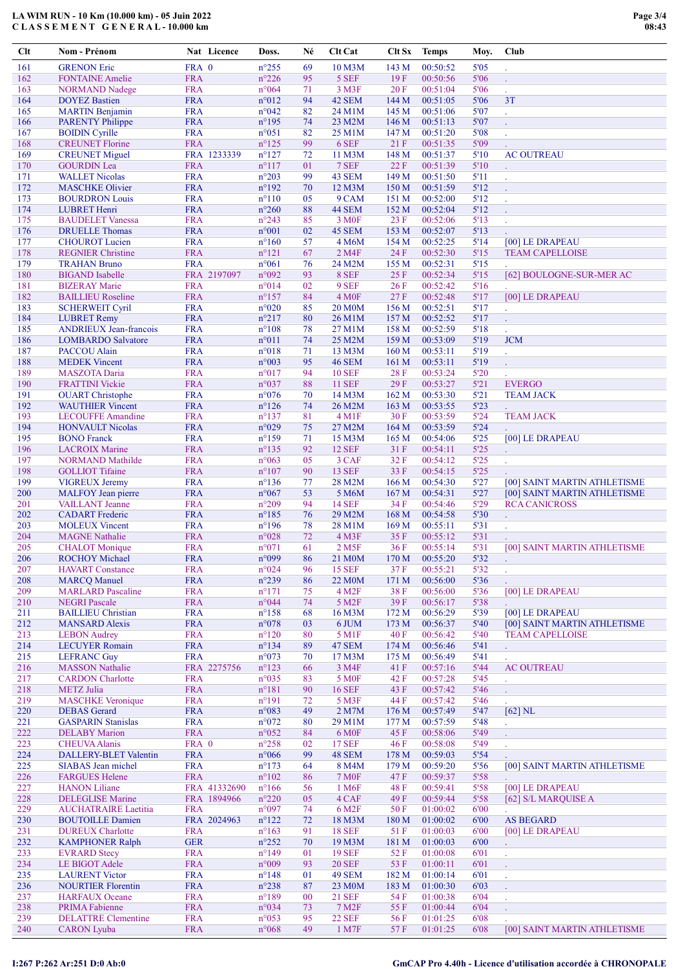## LA WIM RUN - 10 Km (10.000 km) - 05 Juin 2022 CLASSEMENT GENERAL-10.000 km

| Clt        | Nom - Prénom                                      |                          | Nat Licence                 | Doss.                            | Né       | Clt Cat                              | Clt Sx                    | <b>Temps</b>         | Moy.         | Club                                   |
|------------|---------------------------------------------------|--------------------------|-----------------------------|----------------------------------|----------|--------------------------------------|---------------------------|----------------------|--------------|----------------------------------------|
| 161        | <b>GRENON Eric</b>                                | FRA 0                    |                             | $n^{\circ}255$                   | 69       | 10 M3M                               | 143 M                     | 00:50:52             | 5'05         | ÷.                                     |
| 162        | <b>FONTAINE</b> Amelie                            | <b>FRA</b>               |                             | $n^{\circ}226$                   | 95       | 5 SEF                                | 19F                       | 00:50:56             | 5'06         |                                        |
| 163        | <b>NORMAND</b> Nadege                             | <b>FRA</b>               |                             | $n^{\circ}064$                   | 71       | 3 M3F                                | 20F                       | 00:51:04             | 5'06         | V.                                     |
| 164        | <b>DOYEZ</b> Bastien                              | <b>FRA</b>               |                             | $n^{\circ}012$                   | 94       | 42 SEM                               | 144 M                     | 00:51:05             | 5'06         | 3T                                     |
| 165<br>166 | <b>MARTIN</b> Benjamin<br><b>PARENTY Philippe</b> | <b>FRA</b><br><b>FRA</b> |                             | n°042<br>$n^{\circ}195$          | 82<br>74 | 24 M1M<br>23 M2M                     | 145 M<br>146 M            | 00:51:06<br>00:51:13 | 5'07<br>5'07 | l,<br>t.                               |
| 167        | <b>BOIDIN</b> Cyrille                             | <b>FRA</b>               |                             | $n^{\circ}051$                   | 82       | 25 M1M                               | 147 <sub>M</sub>          | 00:51:20             | 5'08         | l,                                     |
| 168        | <b>CREUNET Florine</b>                            | <b>FRA</b>               |                             | $n^{\circ}125$                   | 99       | 6 SEF                                | 21F                       | 00:51:35             | 5'09         | l,                                     |
| 169        | <b>CREUNET</b> Miguel                             |                          | FRA 1233339                 | $n^{\circ}127$                   | 72       | 11 M3M                               | 148 M                     | 00:51:37             | 5'10         | <b>AC OUTREAU</b>                      |
| 170        | <b>GOURDIN</b> Lea                                | <b>FRA</b>               |                             | $n^{\circ}117$                   | 01       | 7 SEF                                | 22F                       | 00:51:39             | 5'10         | Ü,                                     |
| 171        | <b>WALLET Nicolas</b>                             | <b>FRA</b>               |                             | $n^{\circ}203$                   | 99       | 43 SEM                               | 149 M                     | 00:51:50             | 5'11         | t,                                     |
| 172<br>173 | <b>MASCHKE Olivier</b><br><b>BOURDRON Louis</b>   | <b>FRA</b><br><b>FRA</b> |                             | $n^{\circ}192$<br>$n^{\circ}110$ | 70<br>05 | 12 M3M<br>9 CAM                      | 150 <sub>M</sub><br>151 M | 00:51:59<br>00:52:00 | 5'12<br>5'12 |                                        |
| 174        | <b>LUBRET Henri</b>                               | <b>FRA</b>               |                             | $n^{\circ}260$                   | 88       | 44 SEM                               | 152 M                     | 00:52:04             | 5'12         | ä,                                     |
| 175        | <b>BAUDELET</b> Vanessa                           | <b>FRA</b>               |                             | $n^{\circ}243$                   | 85       | 3 M <sub>OF</sub>                    | 23F                       | 00:52:06             | 5'13         | t.                                     |
| 176        | <b>DRUELLE</b> Thomas                             | <b>FRA</b>               |                             | $n^{\circ}001$                   | 02       | 45 SEM                               | 153 M                     | 00:52:07             | 5'13         |                                        |
| 177        | <b>CHOUROT</b> Lucien                             | <b>FRA</b>               |                             | $n^{\circ}160$                   | 57       | 4 M6M                                | 154 M                     | 00:52:25             | 5'14         | [00] LE DRAPEAU                        |
| 178        | <b>REGNIER Christine</b>                          | <b>FRA</b>               |                             | $n^{\circ}121$                   | 67       | 2 M4F                                | 24 F                      | 00:52:30             | 5'15         | <b>TEAM CAPELLOISE</b>                 |
| 179<br>180 | <b>TRAHAN Bruno</b><br><b>BIGAND</b> Isabelle     | <b>FRA</b>               | FRA 2197097                 | $n^{\circ}061$<br>n°092          | 76<br>93 | 24 M2M<br>8 SEF                      | 155M<br>25F               | 00:52:31<br>00:52:34 | 5'15<br>5'15 | [62] BOULOGNE-SUR-MER AC               |
| 181        | <b>BIZERAY</b> Marie                              | <b>FRA</b>               |                             | $n^{\circ}014$                   | 02       | 9 SEF                                | 26F                       | 00:52:42             | 5'16         |                                        |
| 182        | <b>BAILLIEU</b> Roseline                          | <b>FRA</b>               |                             | $n^{\circ}157$                   | 84       | 4 M <sub>OF</sub>                    | 27F                       | 00:52:48             | 5'17         | [00] LE DRAPEAU                        |
| 183        | <b>SCHERWEIT Cyril</b>                            | <b>FRA</b>               |                             | $n^{\circ}020$                   | 85       | <b>20 M0M</b>                        | 156 M                     | 00:52:51             | 5'17         | ¥,                                     |
| 184        | <b>LUBRET Remy</b>                                | <b>FRA</b>               |                             | $n^{\circ}217$                   | 80       | 26 M1M                               | 157 <sub>M</sub>          | 00:52:52             | 5'17         | L.                                     |
| 185        | <b>ANDRIEUX Jean-francois</b>                     | <b>FRA</b>               |                             | $n^{\circ}108$                   | 78       | 27 M1M                               | 158 M                     | 00:52:59             | 5'18         |                                        |
| 186<br>187 | <b>LOMBARDO Salvatore</b><br>PACCOU Alain         | <b>FRA</b><br><b>FRA</b> |                             | $n^{\circ}011$<br>n°018          | 74<br>71 | 25 M2M<br>13 M3M                     | 159 M<br>160 <sub>M</sub> | 00:53:09<br>00:53:11 | 5'19<br>5'19 | <b>JCM</b>                             |
| 188        | <b>MEDEK Vincent</b>                              | <b>FRA</b>               |                             | $n^{\circ}003$                   | 95       | <b>46 SEM</b>                        | 161 M                     | 00:53:11             | 5'19         | ä,<br>L.                               |
| 189        | <b>MASZOTA</b> Daria                              | <b>FRA</b>               |                             | $n^{\circ}017$                   | 94       | <b>10 SEF</b>                        | 28F                       | 00:53:24             | 5'20         |                                        |
| 190        | <b>FRATTINI Vickie</b>                            | <b>FRA</b>               |                             | n°037                            | 88       | <b>11 SEF</b>                        | 29F                       | 00:53:27             | 5'21         | <b>EVERGO</b>                          |
| 191        | <b>OUART</b> Christophe                           | <b>FRA</b>               |                             | $n^{\circ}076$                   | 70       | 14 M3M                               | 162 M                     | 00:53:30             | 5'21         | <b>TEAM JACK</b>                       |
| 192        | <b>WAUTHIER Vincent</b>                           | <b>FRA</b>               |                             | $n^{\circ}126$                   | 74       | 26 M2M                               | 163 M                     | 00:53:55             | 5'23         |                                        |
| 193        | <b>LECOUFFE Amandine</b>                          | <b>FRA</b>               |                             | $n^{\circ}137$                   | 81       | 4 M1F                                | 30F                       | 00:53:59             | 5'24         | <b>TEAM JACK</b>                       |
| 194<br>195 | <b>HONVAULT Nicolas</b><br><b>BONO</b> Franck     | <b>FRA</b><br><b>FRA</b> |                             | n°029<br>$n^{\circ}159$          | 75<br>71 | 27 M2M<br>15 M3M                     | 164 M<br>165 <sub>M</sub> | 00:53:59<br>00:54:06 | 5'24<br>5'25 | [00] LE DRAPEAU                        |
| 196        | <b>LACROIX Marine</b>                             | <b>FRA</b>               |                             | $n^{\circ}$ 135                  | 92       | <b>12 SEF</b>                        | 31 F                      | 00:54:11             | 5'25         | t,                                     |
| 197        | <b>NORMAND</b> Mathilde                           | <b>FRA</b>               |                             | $n^{\circ}063$                   | 05       | 3 CAF                                | 32F                       | 00:54:12             | 5'25         | $\mathcal{L}^{\pm}$                    |
| 198        | <b>GOLLIOT</b> Tifaine                            | <b>FRA</b>               |                             | $n^{\circ}107$                   | 90       | <b>13 SEF</b>                        | 33 F                      | 00:54:15             | 5'25         |                                        |
| 199        | <b>VIGREUX Jeremy</b>                             | <b>FRA</b>               |                             | $n^{\circ}136$                   | 77       | 28 M2M                               | 166 <sub>M</sub>          | 00:54:30             | 5'27         | [00] SAINT MARTIN ATHLETISME           |
| 200        | MALFOY Jean pierre                                | <b>FRA</b>               |                             | $n^{\circ}067$                   | 53       | 5 M6M                                | 167 M                     | 00:54:31             | 5'27         | [00] SAINT MARTIN ATHLETISME           |
| 201<br>202 | <b>VAILLANT</b> Jeanne<br><b>CADART</b> Frederic  | <b>FRA</b><br><b>FRA</b> |                             | $n^{\circ}209$<br>$n^{\circ}185$ | 94<br>76 | <b>14 SEF</b><br>29 M2M              | 34 F<br>168 M             | 00:54:46<br>00:54:58 | 5'29<br>5'30 | <b>RCA CANICROSS</b><br>V,             |
| 203        | <b>MOLEUX Vincent</b>                             | <b>FRA</b>               |                             | $n^{\circ}196$                   | 78       | 28 M1M                               | 169 <sub>M</sub>          | 00:55:11             | 5'31         | t.                                     |
| 204        | <b>MAGNE</b> Nathalie                             | <b>FRA</b>               |                             | $n^{\circ}028$                   | 72       | $4$ M3F                              | 35 F                      | 00:55:12             | 5'31         |                                        |
| 205        | <b>CHALOT</b> Monique                             | <b>FRA</b>               |                             | $n^{\circ}071$                   | 61       | 2 M5F                                | 36F                       | 00:55:14             | 5'31         | [00] SAINT MARTIN ATHLETISME           |
| 206        | ROCHOY Michael                                    | <b>FRA</b>               |                             | n°099                            | 86       | 21 M0M                               | 170 M                     | 00:55:20             | 5'32         |                                        |
| 207<br>208 | <b>HAVART</b> Constance<br><b>MARCO</b> Manuel    | <b>FRA</b><br><b>FRA</b> |                             | n°024<br>$n^{\circ}239$          | 96<br>86 | <b>15 SEF</b><br>22 M <sub>0</sub> M | 37 F                      | 00:55:21<br>00:56:00 | 5'32<br>5'36 | ä,                                     |
| 209        | <b>MARLARD</b> Pascaline                          | <b>FRA</b>               |                             | $n^{\circ}171$                   | 75       | 4 M2F                                | 171 M<br>38F              | 00:56:00             | 5'36         | l,<br>[00] LE DRAPEAU                  |
| 210        | <b>NEGRI Pascale</b>                              | <b>FRA</b>               |                             | n°044                            | 74       | 5 M2F                                | 39F                       | 00:56:17             | 5'38         |                                        |
| 211        | <b>BAILLIEU Christian</b>                         | <b>FRA</b>               |                             | $n^{\circ}158$                   | 68       | 16 M3M                               | 172M                      | 00:56:29             | 5'39         | [00] LE DRAPEAU                        |
| 212        | <b>MANSARD Alexis</b>                             | <b>FRA</b>               |                             | n°078                            | 03       | 6 JUM                                | 173 M                     | 00:56:37             | 5'40         | [00] SAINT MARTIN ATHLETISME           |
| 213        | <b>LEBON</b> Audrey                               | <b>FRA</b>               |                             | $n^{\circ}120$                   | 80       | 5 M1F                                | 40 F                      | 00:56:42             | 5'40         | <b>TEAM CAPELLOISE</b>                 |
| 214<br>215 | <b>LECUYER Romain</b><br><b>LEFRANC Guy</b>       | <b>FRA</b><br><b>FRA</b> |                             | $n^{\circ}134$<br>n°073          | 89<br>70 | 47 SEM<br>17 M3M                     | 174 M<br>175M             | 00:56:46<br>00:56:49 | 5'41<br>5'41 | ¥.                                     |
| 216        | <b>MASSON Nathalie</b>                            |                          | FRA 2275756                 | $n^{\circ}123$                   | 66       | 3 M4F                                | 41 F                      | 00:57:16             | 5'44         | l.<br><b>AC OUTREAU</b>                |
| 217        | <b>CARDON</b> Charlotte                           | <b>FRA</b>               |                             | $n^{\circ}035$                   | 83       | 5 M <sub>OF</sub>                    | 42 F                      | 00:57:28             | 5'45         | ¥.                                     |
| 218        | <b>METZ</b> Julia                                 | <b>FRA</b>               |                             | $n^{\circ}181$                   | 90       | <b>16 SEF</b>                        | 43 F                      | 00:57:42             | 5'46         | $\mathcal{L}$                          |
| 219        | <b>MASCHKE</b> Veronique                          | <b>FRA</b>               |                             | $n^{\circ}191$                   | 72       | 5 M3F                                | 44 F                      | 00:57:42             | 5'46         | Ü,                                     |
| 220<br>221 | <b>DEBAS</b> Gerard                               | <b>FRA</b><br><b>FRA</b> |                             | n°083<br>$n^{\circ}072$          | 49       | 2 M7M                                | 176M<br>177 M             | 00:57:49<br>00:57:59 | 5'47<br>5'48 | $[62]$ NL                              |
| 222        | <b>GASPARIN Stanislas</b><br><b>DELABY</b> Marion | <b>FRA</b>               |                             | $n^{\circ}052$                   | 80<br>84 | 29 M1M<br>6 M <sub>OF</sub>          | 45 F                      | 00:58:06             | 5'49         | V.<br>ç.                               |
| 223        | <b>CHEUVA Alanis</b>                              | FRA 0                    |                             | $n^{\circ}258$                   | 02       | <b>17 SEF</b>                        | 46 F                      | 00:58:08             | 5'49         | $\mathcal{L}$                          |
| 224        | DALLERY-BLET Valentin                             | <b>FRA</b>               |                             | $n^{\circ}066$                   | 99       | 48 SEM                               | 178 M                     | 00:59:03             | 5'54         |                                        |
| 225        | <b>SIABAS</b> Jean michel                         | <b>FRA</b>               |                             | $n^{\circ}173$                   | 64       | 8 M4M                                | 179M                      | 00:59:20             | 5'56         | [00] SAINT MARTIN ATHLETISME           |
| 226        | <b>FARGUES Helene</b>                             | <b>FRA</b>               |                             | $n^{\circ}102$                   | 86       | <b>7 MOF</b>                         | 47 F                      | 00:59:37             | 5'58         | L.                                     |
| 227<br>228 | <b>HANON Liliane</b><br><b>DELEGLISE Marine</b>   |                          | FRA 41332690<br>FRA 1894966 | $n^{\circ}166$<br>$n^{\circ}220$ | 56<br>05 | 1 M <sub>6F</sub><br>4 CAF           | 48 F<br>49 F              | 00:59:41<br>00:59:44 | 5'58<br>5'58 | [00] LE DRAPEAU<br>[62] S/L MARQUISE A |
| 229        | <b>AUCHATRAIRE Laetitia</b>                       | <b>FRA</b>               |                             | n°097                            | 74       | 6 M2F                                | 50 F                      | 01:00:02             | 6'00         | t.                                     |
| 230        | <b>BOUTOILLE Damien</b>                           |                          | FRA 2024963                 | $n^{\circ}122$                   | 72       | 18 M3M                               | 180 M                     | 01:00:02             | 6'00         | <b>AS BEGARD</b>                       |
| 231        | <b>DUREUX</b> Charlotte                           | <b>FRA</b>               |                             | $n^{\circ}163$                   | 91       | <b>18 SEF</b>                        | 51 F                      | 01:00:03             | 6'00         | [00] LE DRAPEAU                        |
| 232        | <b>KAMPHONER Ralph</b>                            | <b>GER</b>               |                             | $n^{\circ}252$                   | 70       | 19 M3M                               | 181 M                     | 01:00:03             | 6'00         | V.                                     |
| 233        | <b>EVRARD Stecy</b>                               | <b>FRA</b>               |                             | $n^{\circ}149$                   | 01       | <b>19 SEF</b>                        | 52 F                      | 01:00:08             | 6'01         | ä,                                     |
| 234<br>235 | LE BIGOT Adele<br><b>LAURENT Victor</b>           | <b>FRA</b><br><b>FRA</b> |                             | n°009<br>$n^{\circ}148$          | 93<br>01 | <b>20 SEF</b><br>49 SEM              | 53 F<br>182 M             | 01:00:11<br>01:00:14 | 6'01<br>6'01 | l.                                     |
| 236        | <b>NOURTIER Florentin</b>                         | <b>FRA</b>               |                             | $n^{\circ}238$                   | 87       | 23 M <sub>0</sub> M                  | 183 M                     | 01:00:30             | 6'03         | ä,                                     |
| 237        | <b>HARFAUX Oceane</b>                             | <b>FRA</b>               |                             | $n^{\circ}189$                   | $00\,$   | <b>21 SEF</b>                        | 54 F                      | 01:00:38             | 6'04         | $\mathcal{L}$                          |
| 238        | <b>PRIMA Fabienne</b>                             | <b>FRA</b>               |                             | n°034                            | 73       | 7 M <sub>2</sub> F                   | 55 F                      | 01:00:44             | 6'04         | ä,                                     |
| 239        | <b>DELATTRE Clementine</b>                        | <b>FRA</b>               |                             | $n^{\circ}053$                   | 95       | <b>22 SEF</b>                        | 56F                       | 01:01:25             | 6'08         |                                        |
| 240        | <b>CARON</b> Lyuba                                | <b>FRA</b>               |                             | $n^{\circ}068$                   | 49       | 1 M7F                                | 57 F                      | 01:01:25             | 6'08         | <b>[00] SAINT MARTIN ATHLETISME</b>    |